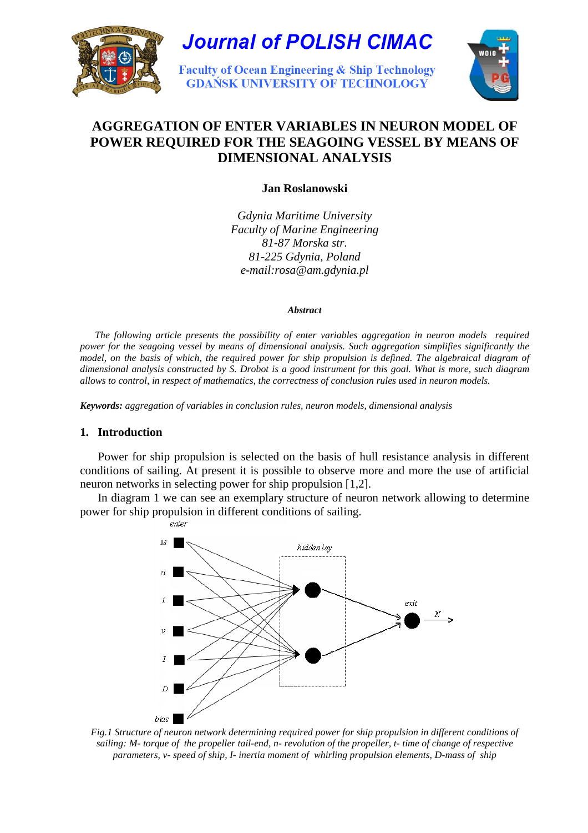



# **AGGREGATION OF ENTER VARIABLES IN NEURON MODEL OF POWER REQUIRED FOR THE SEAGOING VESSEL BY MEANS OF DIMENSIONAL ANALYSIS**

**Jan Roslanowski** 

*Gdynia Maritime University Faculty of Marine Engineering 81-87 Morska str. 81-225 Gdynia, Poland e-mail:rosa@am.gdynia.pl* 

#### *Abstract*

 *The following article presents the possibility of enter variables aggregation in neuron models required power for the seagoing vessel by means of dimensional analysis. Such aggregation simplifies significantly the model, on the basis of which, the required power for ship propulsion is defined. The algebraical diagram of dimensional analysis constructed by S. Drobot is a good instrument for this goal. What is more, such diagram allows to control, in respect of mathematics, the correctness of conclusion rules used in neuron models.* 

*Keywords: aggregation of variables in conclusion rules, neuron models, dimensional analysis* 

### **1. Introduction**

Power for ship propulsion is selected on the basis of hull resistance analysis in different conditions of sailing. At present it is possible to observe more and more the use of artificial neuron networks in selecting power for ship propulsion [1,2].

In diagram 1 we can see an exemplary structure of neuron network allowing to determine power for ship propulsion in different conditions of sailing.



*Fig.1 Structure of neuron network determining required power for ship propulsion in different conditions of sailing: M- torque of the propeller tail-end, n- revolution of the propeller, t- time of change of respective parameters, v- speed of ship, I- inertia moment of whirling propulsion elements, D-mass of ship*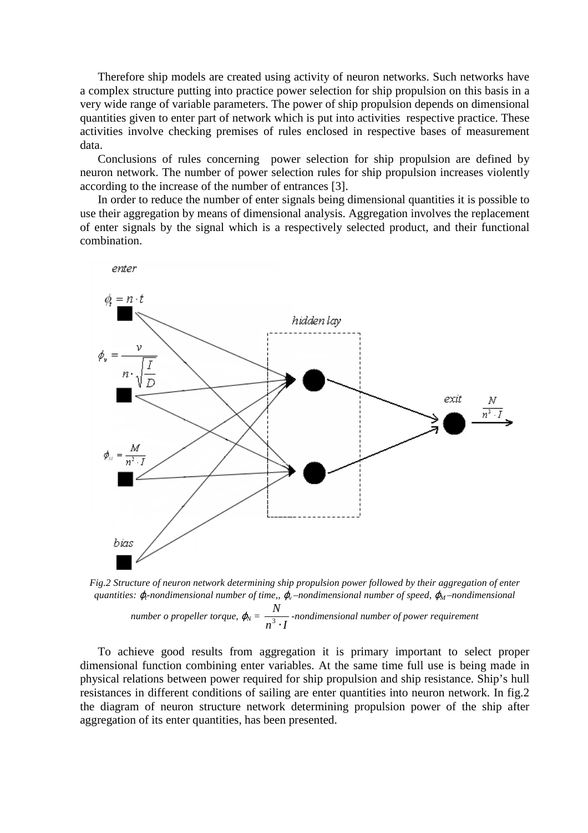Therefore ship models are created using activity of neuron networks. Such networks have a complex structure putting into practice power selection for ship propulsion on this basis in a very wide range of variable parameters. The power of ship propulsion depends on dimensional quantities given to enter part of network which is put into activities respective practice. These activities involve checking premises of rules enclosed in respective bases of measurement data.

Conclusions of rules concerning power selection for ship propulsion are defined by neuron network. The number of power selection rules for ship propulsion increases violently according to the increase of the number of entrances [3].

In order to reduce the number of enter signals being dimensional quantities it is possible to use their aggregation by means of dimensional analysis. Aggregation involves the replacement of enter signals by the signal which is a respectively selected product, and their functional combination.





*number o propeller torque,*  $\varphi_N = \frac{1}{n^3 \cdot l}$ *N* ⋅ 3 *-nondimensional number of power requirement*

To achieve good results from aggregation it is primary important to select proper dimensional function combining enter variables. At the same time full use is being made in physical relations between power required for ship propulsion and ship resistance. Ship's hull resistances in different conditions of sailing are enter quantities into neuron network. In fig.2 the diagram of neuron structure network determining propulsion power of the ship after aggregation of its enter quantities, has been presented.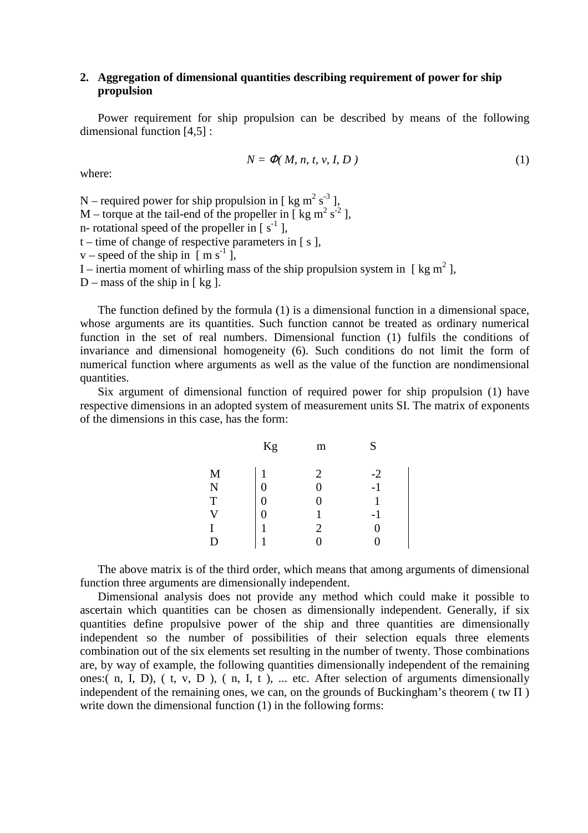### **2. Aggregation of dimensional quantities describing requirement of power for ship propulsion**

Power requirement for ship propulsion can be described by means of the following dimensional function [4,5] :

$$
N = \Phi(M, n, t, v, I, D) \tag{1}
$$

where:

N – required power for ship propulsion in [ kg m<sup>2</sup> s<sup>-3</sup> ], M – torque at the tail-end of the propeller in [ $kg \text{ m}^2 \text{ s}^{-2}$ ], n- rotational speed of the propeller in  $[s^{-1}]$ ,  $t$  – time of change of respective parameters in [ s ], v – speed of the ship in  $\overline{[}$  m s<sup>-1</sup>  $\overline{]}$ , I – inertia moment of whirling mass of the ship propulsion system in [ kg  $m^2$  ],  $D$  – mass of the ship in [ kg ].

The function defined by the formula (1) is a dimensional function in a dimensional space, whose arguments are its quantities. Such function cannot be treated as ordinary numerical function in the set of real numbers. Dimensional function (1) fulfils the conditions of invariance and dimensional homogeneity (6). Such conditions do not limit the form of numerical function where arguments as well as the value of the function are nondimensional quantities.

Six argument of dimensional function of required power for ship propulsion (1) have respective dimensions in an adopted system of measurement units SI. The matrix of exponents of the dimensions in this case, has the form:

|                         | Kg               | m              | S            |
|-------------------------|------------------|----------------|--------------|
| M                       |                  | $\overline{2}$ |              |
|                         | $\boldsymbol{0}$ | $\overline{0}$ | $-2$<br>$-1$ |
| N<br>T                  | $\boldsymbol{0}$ | 0              |              |
| $\overline{\mathsf{V}}$ | $\overline{0}$   |                | $-1$         |
| I                       | $\mathbf{1}$     | $\overline{2}$ | 0            |
| D                       | 1                | $\overline{0}$ |              |
|                         |                  |                |              |

The above matrix is of the third order, which means that among arguments of dimensional function three arguments are dimensionally independent.

Dimensional analysis does not provide any method which could make it possible to ascertain which quantities can be chosen as dimensionally independent. Generally, if six quantities define propulsive power of the ship and three quantities are dimensionally independent so the number of possibilities of their selection equals three elements combination out of the six elements set resulting in the number of twenty. Those combinations are, by way of example, the following quantities dimensionally independent of the remaining ones:( n, I, D), ( t, v, D ), ( n, I, t ), ... etc. After selection of arguments dimensionally independent of the remaining ones, we can, on the grounds of Buckingham's theorem ( $tw \Pi$ ) write down the dimensional function (1) in the following forms: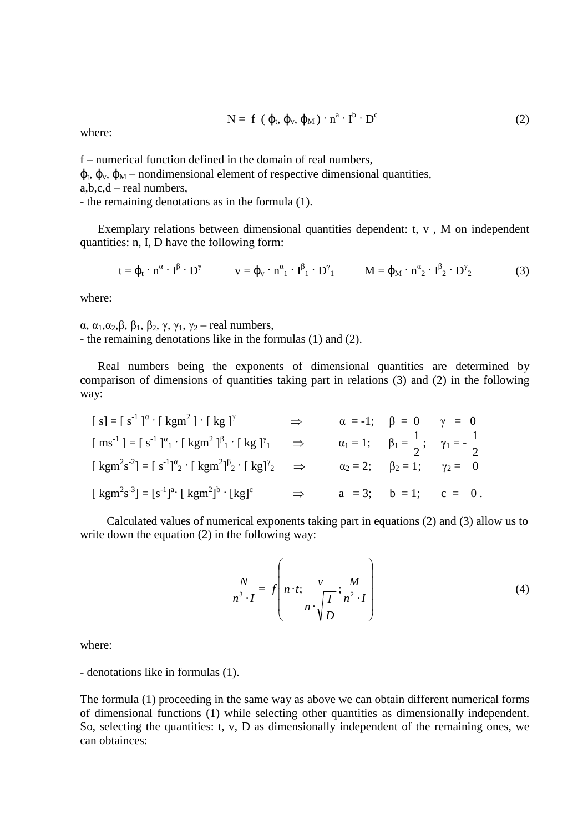$$
N = f (\varphi_t, \varphi_v, \varphi_M) \cdot n^a \cdot I^b \cdot D^c
$$
 (2)

where:

f – numerical function defined in the domain of real numbers,  $\varphi_t$ ,  $\varphi_w$ ,  $\varphi_M$  – nondimensional element of respective dimensional quantities, a,b,c,d – real numbers, - the remaining denotations as in the formula (1).

Exemplary relations between dimensional quantities dependent: t, v , M on independent quantities: n, I, D have the following form:

$$
t = \varphi_t \cdot n^{\alpha} \cdot I^{\beta} \cdot D^{\gamma} \qquad v = \varphi_v \cdot n^{\alpha}{}_1 \cdot I^{\beta}{}_1 \cdot D^{\gamma}{}_1 \qquad M = \varphi_M \cdot n^{\alpha}{}_2 \cdot I^{\beta}{}_2 \cdot D^{\gamma}{}_2 \qquad (3)
$$

where:

α,  $\alpha_1, \alpha_2, \beta, \beta_1, \beta_2, \gamma, \gamma_1, \gamma_2$  – real numbers, - the remaining denotations like in the formulas (1) and (2).

Real numbers being the exponents of dimensional quantities are determined by comparison of dimensions of quantities taking part in relations (3) and (2) in the following way:

$$
[s] = [s^{-1}]^{\alpha} \cdot [kgm^{2}] \cdot [kg]^{\gamma} \implies \alpha = -1; \beta = 0 \gamma = 0
$$
  
\n
$$
[ms^{-1}] = [s^{-1}]^{\alpha} \cdot [kgm^{2}]^{\beta} \cdot [kg]^{\gamma} \implies \alpha_{1} = 1; \beta_{1} = \frac{1}{2}; \gamma_{1} = -\frac{1}{2}
$$
  
\n
$$
[kgm^{2}s^{-2}] = [s^{-1}]^{\alpha} \cdot [kgm^{2}]^{\beta} \cdot [kg]^{\gamma} \implies \alpha_{2} = 2; \beta_{2} = 1; \gamma_{2} = 0
$$
  
\n
$$
[kgm^{2}s^{-3}] = [s^{-1}]^{\alpha} \cdot [kgm^{2}]^{\beta} \cdot [kg]^{\gamma} \implies \alpha = 3; \beta = 1; \ c = 0.
$$

 Calculated values of numerical exponents taking part in equations (2) and (3) allow us to write down the equation (2) in the following way:

$$
\frac{N}{n^3 \cdot I} = f\left(n \cdot t; \frac{\nu}{n \cdot \sqrt{\frac{I}{D}}}; \frac{M}{n^2 \cdot I}\right)
$$
(4)

where:

- denotations like in formulas (1).

The formula (1) proceeding in the same way as above we can obtain different numerical forms of dimensional functions (1) while selecting other quantities as dimensionally independent. So, selecting the quantities: t, v, D as dimensionally independent of the remaining ones, we can obtainces: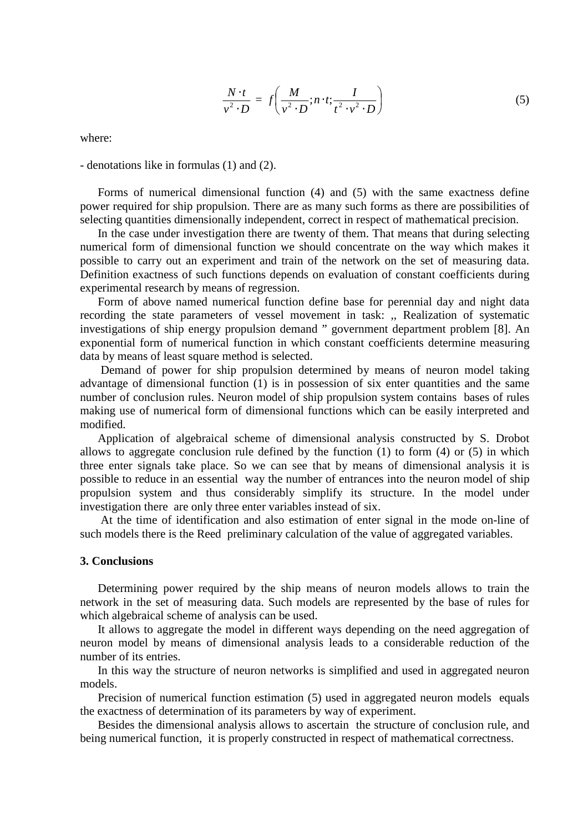$$
\frac{N \cdot t}{v^2 \cdot D} = f\left(\frac{M}{v^2 \cdot D}; n \cdot t; \frac{I}{t^2 \cdot v^2 \cdot D}\right)
$$
\n(5)

where:

- denotations like in formulas (1) and (2).

Forms of numerical dimensional function (4) and (5) with the same exactness define power required for ship propulsion. There are as many such forms as there are possibilities of selecting quantities dimensionally independent, correct in respect of mathematical precision.

In the case under investigation there are twenty of them. That means that during selecting numerical form of dimensional function we should concentrate on the way which makes it possible to carry out an experiment and train of the network on the set of measuring data. Definition exactness of such functions depends on evaluation of constant coefficients during experimental research by means of regression.

Form of above named numerical function define base for perennial day and night data recording the state parameters of vessel movement in task: ,, Realization of systematic investigations of ship energy propulsion demand " government department problem [8]. An exponential form of numerical function in which constant coefficients determine measuring data by means of least square method is selected.

 Demand of power for ship propulsion determined by means of neuron model taking advantage of dimensional function (1) is in possession of six enter quantities and the same number of conclusion rules. Neuron model of ship propulsion system contains bases of rules making use of numerical form of dimensional functions which can be easily interpreted and modified.

Application of algebraical scheme of dimensional analysis constructed by S. Drobot allows to aggregate conclusion rule defined by the function (1) to form (4) or (5) in which three enter signals take place. So we can see that by means of dimensional analysis it is possible to reduce in an essential way the number of entrances into the neuron model of ship propulsion system and thus considerably simplify its structure. In the model under investigation there are only three enter variables instead of six.

 At the time of identification and also estimation of enter signal in the mode on-line of such models there is the Reed preliminary calculation of the value of aggregated variables.

#### **3. Conclusions**

Determining power required by the ship means of neuron models allows to train the network in the set of measuring data. Such models are represented by the base of rules for which algebraical scheme of analysis can be used.

It allows to aggregate the model in different ways depending on the need aggregation of neuron model by means of dimensional analysis leads to a considerable reduction of the number of its entries.

In this way the structure of neuron networks is simplified and used in aggregated neuron models.

Precision of numerical function estimation (5) used in aggregated neuron models equals the exactness of determination of its parameters by way of experiment.

Besides the dimensional analysis allows to ascertain the structure of conclusion rule, and being numerical function, it is properly constructed in respect of mathematical correctness.